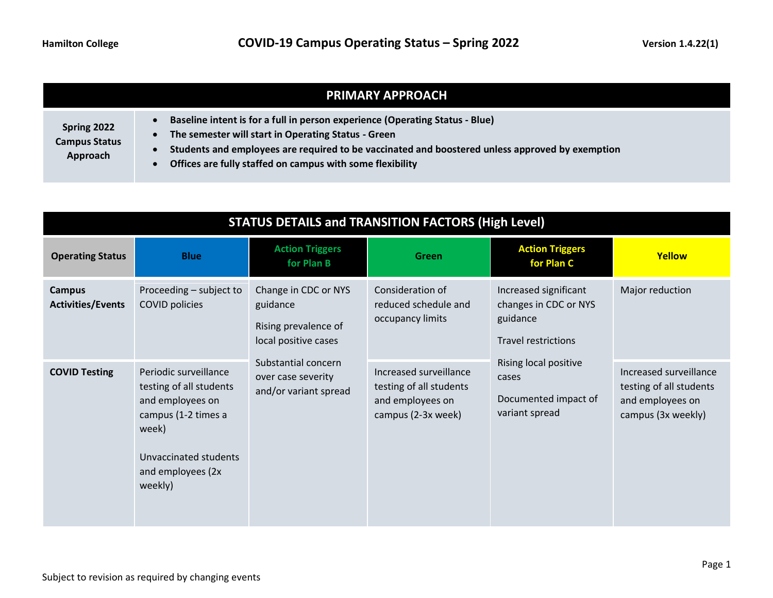|                                                 | <b>PRIMARY APPROACH</b>                                                                                                                                                                                                                                                                             |
|-------------------------------------------------|-----------------------------------------------------------------------------------------------------------------------------------------------------------------------------------------------------------------------------------------------------------------------------------------------------|
| Spring 2022<br><b>Campus Status</b><br>Approach | Baseline intent is for a full in person experience (Operating Status - Blue)<br>The semester will start in Operating Status - Green<br>Students and employees are required to be vaccinated and boostered unless approved by exemption<br>Offices are fully staffed on campus with some flexibility |

| <b>STATUS DETAILS and TRANSITION FACTORS (High Level)</b> |                                                                                                                                                               |                                                                                  |                                                                                             |                                                                                          |                                                                                             |
|-----------------------------------------------------------|---------------------------------------------------------------------------------------------------------------------------------------------------------------|----------------------------------------------------------------------------------|---------------------------------------------------------------------------------------------|------------------------------------------------------------------------------------------|---------------------------------------------------------------------------------------------|
| <b>Operating Status</b>                                   | <b>Blue</b>                                                                                                                                                   | <b>Action Triggers</b><br>for Plan B                                             | <b>Green</b>                                                                                | <b>Action Triggers</b><br>for Plan C                                                     | Yellow                                                                                      |
| <b>Campus</b><br><b>Activities/Events</b>                 | Proceeding - subject to<br>COVID policies                                                                                                                     | Change in CDC or NYS<br>guidance<br>Rising prevalence of<br>local positive cases | Consideration of<br>reduced schedule and<br>occupancy limits                                | Increased significant<br>changes in CDC or NYS<br>guidance<br><b>Travel restrictions</b> | Major reduction                                                                             |
| <b>COVID Testing</b>                                      | Periodic surveillance<br>testing of all students<br>and employees on<br>campus (1-2 times a<br>week)<br>Unvaccinated students<br>and employees (2x<br>weekly) | Substantial concern<br>over case severity<br>and/or variant spread               | Increased surveillance<br>testing of all students<br>and employees on<br>campus (2-3x week) | Rising local positive<br>cases<br>Documented impact of<br>variant spread                 | Increased surveillance<br>testing of all students<br>and employees on<br>campus (3x weekly) |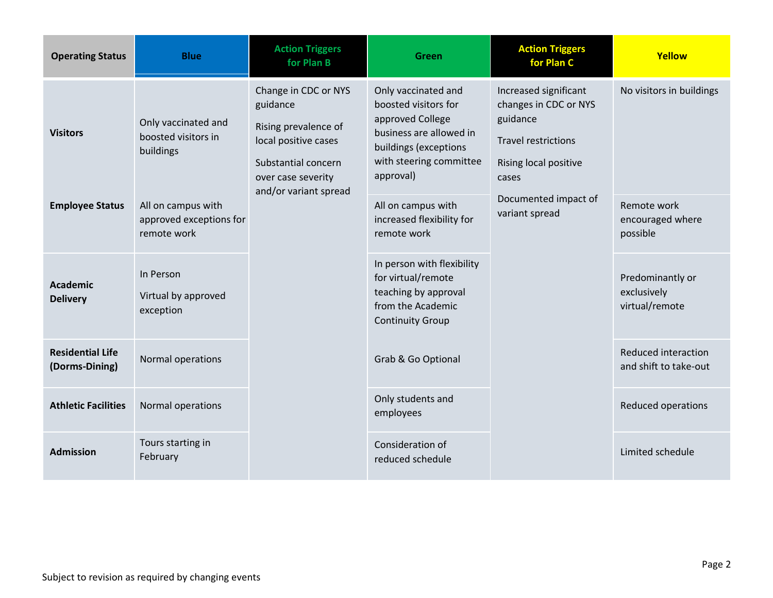| <b>Operating Status</b>                   | <b>Blue</b>                                                  | <b>Action Triggers</b><br>for Plan B                                                                                                                   | Green                                                                                                                                                       | <b>Action Triggers</b><br>for Plan C                                                                                                                                 | Yellow                                            |
|-------------------------------------------|--------------------------------------------------------------|--------------------------------------------------------------------------------------------------------------------------------------------------------|-------------------------------------------------------------------------------------------------------------------------------------------------------------|----------------------------------------------------------------------------------------------------------------------------------------------------------------------|---------------------------------------------------|
| <b>Visitors</b>                           | Only vaccinated and<br>boosted visitors in<br>buildings      | Change in CDC or NYS<br>guidance<br>Rising prevalence of<br>local positive cases<br>Substantial concern<br>over case severity<br>and/or variant spread | Only vaccinated and<br>boosted visitors for<br>approved College<br>business are allowed in<br>buildings (exceptions<br>with steering committee<br>approval) | Increased significant<br>changes in CDC or NYS<br>guidance<br><b>Travel restrictions</b><br>Rising local positive<br>cases<br>Documented impact of<br>variant spread | No visitors in buildings                          |
| <b>Employee Status</b>                    | All on campus with<br>approved exceptions for<br>remote work |                                                                                                                                                        | All on campus with<br>increased flexibility for<br>remote work                                                                                              |                                                                                                                                                                      | Remote work<br>encouraged where<br>possible       |
| <b>Academic</b><br><b>Delivery</b>        | In Person<br>Virtual by approved<br>exception                |                                                                                                                                                        | In person with flexibility<br>for virtual/remote<br>teaching by approval<br>from the Academic<br><b>Continuity Group</b>                                    |                                                                                                                                                                      | Predominantly or<br>exclusively<br>virtual/remote |
| <b>Residential Life</b><br>(Dorms-Dining) | Normal operations                                            |                                                                                                                                                        | Grab & Go Optional                                                                                                                                          |                                                                                                                                                                      | Reduced interaction<br>and shift to take-out      |
| <b>Athletic Facilities</b>                | Normal operations                                            |                                                                                                                                                        | Only students and<br>employees                                                                                                                              |                                                                                                                                                                      | Reduced operations                                |
| <b>Admission</b>                          | Tours starting in<br>February                                |                                                                                                                                                        | Consideration of<br>reduced schedule                                                                                                                        |                                                                                                                                                                      | Limited schedule                                  |